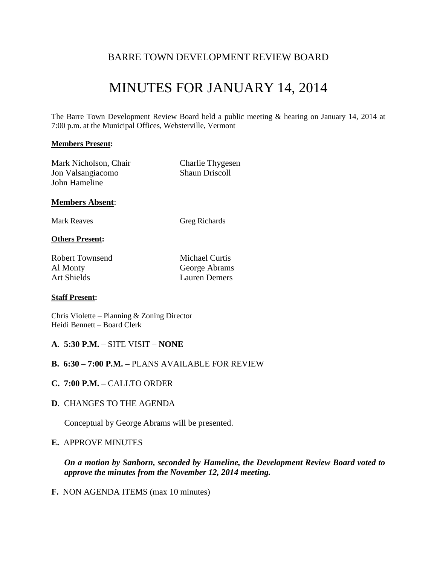## BARRE TOWN DEVELOPMENT REVIEW BOARD

# MINUTES FOR JANUARY 14, 2014

The Barre Town Development Review Board held a public meeting & hearing on January 14, 2014 at 7:00 p.m. at the Municipal Offices, Websterville, Vermont

#### **Members Present:**

| Mark Nicholson, Chair | Charlie Thygesen      |
|-----------------------|-----------------------|
| Jon Valsangiacomo     | <b>Shaun Driscoll</b> |
| John Hameline         |                       |

#### **Members Absent**:

Mark Reaves Greg Richards

#### **Others Present:**

Robert Townsend Michael Curtis Al Monty George Abrams Art Shields Lauren Demers

#### **Staff Present:**

Chris Violette – Planning & Zoning Director Heidi Bennett – Board Clerk

#### **A**. **5:30 P.M.** – SITE VISIT – **NONE**

#### **B. 6:30 – 7:00 P.M. –** PLANS AVAILABLE FOR REVIEW

- **C. 7:00 P.M. –** CALLTO ORDER
- **D**. CHANGES TO THE AGENDA

Conceptual by George Abrams will be presented.

#### **E.** APPROVE MINUTES

*On a motion by Sanborn, seconded by Hameline, the Development Review Board voted to approve the minutes from the November 12, 2014 meeting.*

**F.** NON AGENDA ITEMS (max 10 minutes)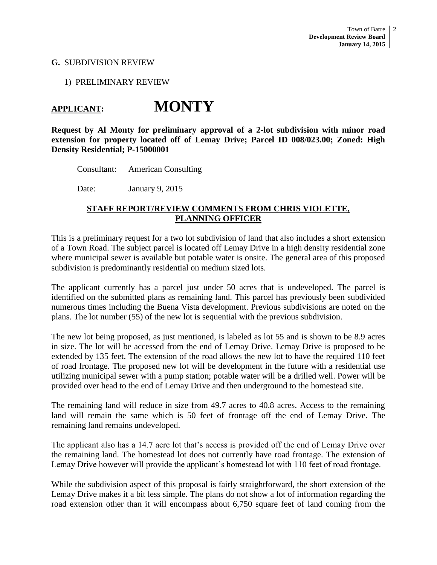### **G.** SUBDIVISION REVIEW

#### 1) PRELIMINARY REVIEW

## **APPLICANT: MONTY**

**Request by Al Monty for preliminary approval of a 2-lot subdivision with minor road extension for property located off of Lemay Drive; Parcel ID 008/023.00; Zoned: High Density Residential; P-15000001**

Consultant: American Consulting

Date: January 9, 2015

## **STAFF REPORT/REVIEW COMMENTS FROM CHRIS VIOLETTE, PLANNING OFFICER**

This is a preliminary request for a two lot subdivision of land that also includes a short extension of a Town Road. The subject parcel is located off Lemay Drive in a high density residential zone where municipal sewer is available but potable water is onsite. The general area of this proposed subdivision is predominantly residential on medium sized lots.

The applicant currently has a parcel just under 50 acres that is undeveloped. The parcel is identified on the submitted plans as remaining land. This parcel has previously been subdivided numerous times including the Buena Vista development. Previous subdivisions are noted on the plans. The lot number (55) of the new lot is sequential with the previous subdivision.

The new lot being proposed, as just mentioned, is labeled as lot 55 and is shown to be 8.9 acres in size. The lot will be accessed from the end of Lemay Drive. Lemay Drive is proposed to be extended by 135 feet. The extension of the road allows the new lot to have the required 110 feet of road frontage. The proposed new lot will be development in the future with a residential use utilizing municipal sewer with a pump station; potable water will be a drilled well. Power will be provided over head to the end of Lemay Drive and then underground to the homestead site.

The remaining land will reduce in size from 49.7 acres to 40.8 acres. Access to the remaining land will remain the same which is 50 feet of frontage off the end of Lemay Drive. The remaining land remains undeveloped.

The applicant also has a 14.7 acre lot that's access is provided off the end of Lemay Drive over the remaining land. The homestead lot does not currently have road frontage. The extension of Lemay Drive however will provide the applicant's homestead lot with 110 feet of road frontage.

While the subdivision aspect of this proposal is fairly straightforward, the short extension of the Lemay Drive makes it a bit less simple. The plans do not show a lot of information regarding the road extension other than it will encompass about 6,750 square feet of land coming from the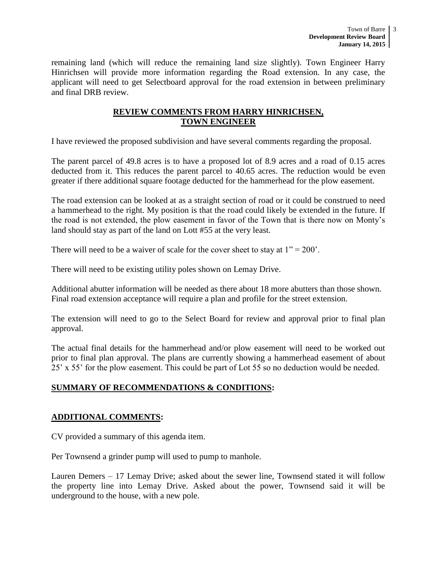remaining land (which will reduce the remaining land size slightly). Town Engineer Harry Hinrichsen will provide more information regarding the Road extension. In any case, the applicant will need to get Selectboard approval for the road extension in between preliminary and final DRB review.

## **REVIEW COMMENTS FROM HARRY HINRICHSEN, TOWN ENGINEER**

I have reviewed the proposed subdivision and have several comments regarding the proposal.

The parent parcel of 49.8 acres is to have a proposed lot of 8.9 acres and a road of 0.15 acres deducted from it. This reduces the parent parcel to 40.65 acres. The reduction would be even greater if there additional square footage deducted for the hammerhead for the plow easement.

The road extension can be looked at as a straight section of road or it could be construed to need a hammerhead to the right. My position is that the road could likely be extended in the future. If the road is not extended, the plow easement in favor of the Town that is there now on Monty's land should stay as part of the land on Lott #55 at the very least.

There will need to be a waiver of scale for the cover sheet to stay at  $1" = 200'$ .

There will need to be existing utility poles shown on Lemay Drive.

Additional abutter information will be needed as there about 18 more abutters than those shown. Final road extension acceptance will require a plan and profile for the street extension.

The extension will need to go to the Select Board for review and approval prior to final plan approval.

The actual final details for the hammerhead and/or plow easement will need to be worked out prior to final plan approval. The plans are currently showing a hammerhead easement of about 25' x 55' for the plow easement. This could be part of Lot 55 so no deduction would be needed.

## **SUMMARY OF RECOMMENDATIONS & CONDITIONS:**

## **ADDITIONAL COMMENTS:**

CV provided a summary of this agenda item.

Per Townsend a grinder pump will used to pump to manhole.

Lauren Demers – 17 Lemay Drive; asked about the sewer line, Townsend stated it will follow the property line into Lemay Drive. Asked about the power, Townsend said it will be underground to the house, with a new pole.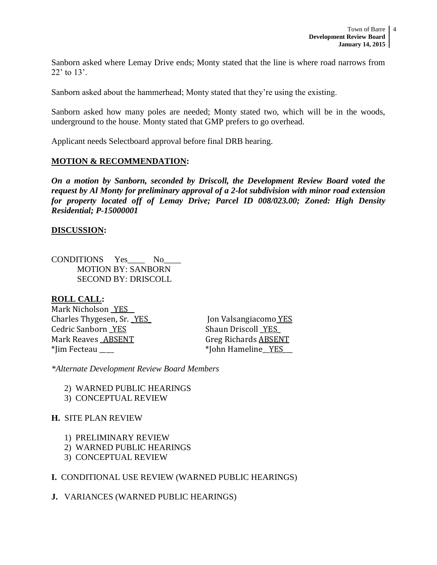Sanborn asked where Lemay Drive ends; Monty stated that the line is where road narrows from 22' to 13'.

Sanborn asked about the hammerhead; Monty stated that they're using the existing.

Sanborn asked how many poles are needed; Monty stated two, which will be in the woods, underground to the house. Monty stated that GMP prefers to go overhead.

Applicant needs Selectboard approval before final DRB hearing.

## **MOTION & RECOMMENDATION:**

*On a motion by Sanborn, seconded by Driscoll, the Development Review Board voted the request by Al Monty for preliminary approval of a 2-lot subdivision with minor road extension for property located off of Lemay Drive; Parcel ID 008/023.00; Zoned: High Density Residential; P-15000001*

## **DISCUSSION:**

CONDITIONS Yes\_\_\_\_ No\_\_\_\_ MOTION BY: SANBORN SECOND BY: DRISCOLL

## **ROLL CALL:**

Mark Nicholson YES Charles Thygesen, Sr. \_YES\_ Jon Valsangiacomo YES Cedric Sanborn <u>YES</u> Shaun Driscoll **YES** Mark Reaves ABSENT Greg Richards ABSENT \*Jim Fecteau \_\_ \_\_ \*John Hameline\_\_YES\_\_\_

*\*Alternate Development Review Board Members*

- 2) WARNED PUBLIC HEARINGS
- 3) CONCEPTUAL REVIEW

## **H.** SITE PLAN REVIEW

- 1) PRELIMINARY REVIEW
- 2) WARNED PUBLIC HEARINGS
- 3) CONCEPTUAL REVIEW

## **I.** CONDITIONAL USE REVIEW (WARNED PUBLIC HEARINGS)

## **J.** VARIANCES (WARNED PUBLIC HEARINGS)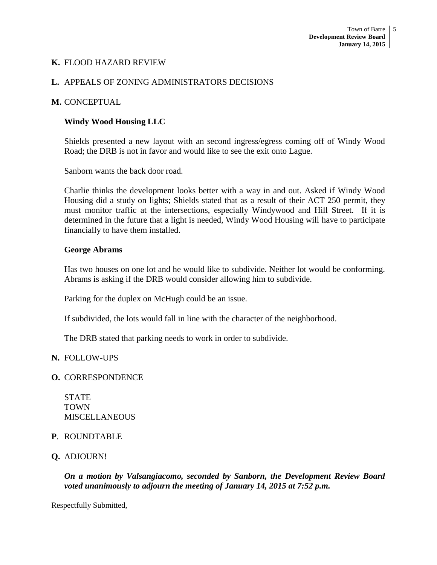## **K.** FLOOD HAZARD REVIEW

## **L.** APPEALS OF ZONING ADMINISTRATORS DECISIONS

### **M.** CONCEPTUAL

### **Windy Wood Housing LLC**

Shields presented a new layout with an second ingress/egress coming off of Windy Wood Road; the DRB is not in favor and would like to see the exit onto Lague.

Sanborn wants the back door road.

Charlie thinks the development looks better with a way in and out. Asked if Windy Wood Housing did a study on lights; Shields stated that as a result of their ACT 250 permit, they must monitor traffic at the intersections, especially Windywood and Hill Street. If it is determined in the future that a light is needed, Windy Wood Housing will have to participate financially to have them installed.

#### **George Abrams**

Has two houses on one lot and he would like to subdivide. Neither lot would be conforming. Abrams is asking if the DRB would consider allowing him to subdivide.

Parking for the duplex on McHugh could be an issue.

If subdivided, the lots would fall in line with the character of the neighborhood.

The DRB stated that parking needs to work in order to subdivide.

## **N.** FOLLOW-UPS

#### **O.** CORRESPONDENCE

STATE TOWN MISCELLANEOUS

## **P**. ROUNDTABLE

## **Q.** ADJOURN!

*On a motion by Valsangiacomo, seconded by Sanborn, the Development Review Board voted unanimously to adjourn the meeting of January 14, 2015 at 7:52 p.m.*

Respectfully Submitted,